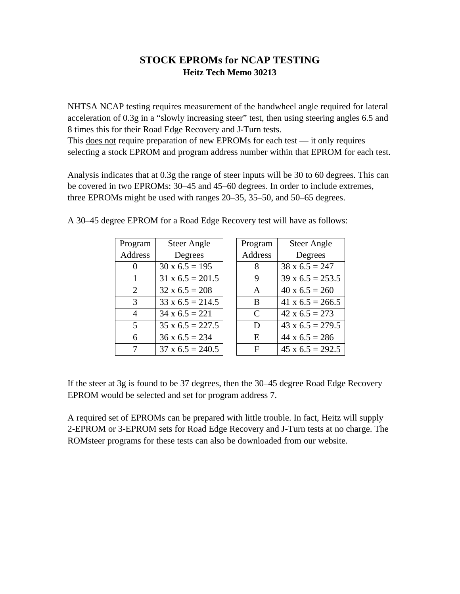## **STOCK EPROMs for NCAP TESTING Heitz Tech Memo 30213**

NHTSA NCAP testing requires measurement of the handwheel angle required for lateral acceleration of 0.3g in a "slowly increasing steer" test, then using steering angles 6.5 and 8 times this for their Road Edge Recovery and J-Turn tests.

This does not require preparation of new EPROMs for each test — it only requires selecting a stock EPROM and program address number within that EPROM for each test.

Analysis indicates that at 0.3g the range of steer inputs will be 30 to 60 degrees. This can be covered in two EPROMs: 30–45 and 45–60 degrees. In order to include extremes, three EPROMs might be used with ranges 20–35, 35–50, and 50–65 degrees.

| Program      | <b>Steer Angle</b>      |  |  |  |
|--------------|-------------------------|--|--|--|
| Address      | Degrees                 |  |  |  |
| $\mathbf{0}$ | $30 \times 6.5 = 195$   |  |  |  |
| 1            | $31 \times 6.5 = 201.5$ |  |  |  |
| 2            | $32 \times 6.5 = 208$   |  |  |  |
| 3            | $33 \times 6.5 = 214.5$ |  |  |  |
| 4            | $34 \times 6.5 = 221$   |  |  |  |
| 5            | $35 \times 6.5 = 227.5$ |  |  |  |
| 6            | $36 \times 6.5 = 234$   |  |  |  |
| 7            | $37 \times 6.5 = 240.5$ |  |  |  |

| gram           | <b>Steer Angle</b>      | Program     | <b>Steer Angle</b>      |
|----------------|-------------------------|-------------|-------------------------|
| dress          | Degrees                 | Address     | Degrees                 |
| 0              | $30 \times 6.5 = 195$   | 8           | $38 \times 6.5 = 247$   |
| 1              | $31 \times 6.5 = 201.5$ | 9           | $39 \times 6.5 = 253.5$ |
| $\overline{2}$ | $32 \times 6.5 = 208$   | A           | $40 \times 6.5 = 260$   |
| 3              | $33 \times 6.5 = 214.5$ | B           | 41 x $6.5 = 266.5$      |
| 4              | $34 \times 6.5 = 221$   | C           | $42 \times 6.5 = 273$   |
| $\overline{5}$ | $35 \times 6.5 = 227.5$ | D           | $43 \times 6.5 = 279.5$ |
| 6              | $36 \times 6.5 = 234$   | E           | $44 \times 6.5 = 286$   |
| 7              | $37 \times 6.5 = 240.5$ | $\mathbf F$ | $45 \times 6.5 = 292.5$ |

A 30–45 degree EPROM for a Road Edge Recovery test will have as follows:

If the steer at 3g is found to be 37 degrees, then the 30–45 degree Road Edge Recovery EPROM would be selected and set for program address 7.

A required set of EPROMs can be prepared with little trouble. In fact, Heitz will supply 2-EPROM or 3-EPROM sets for Road Edge Recovery and J-Turn tests at no charge. The ROMsteer programs for these tests can also be downloaded from our website.